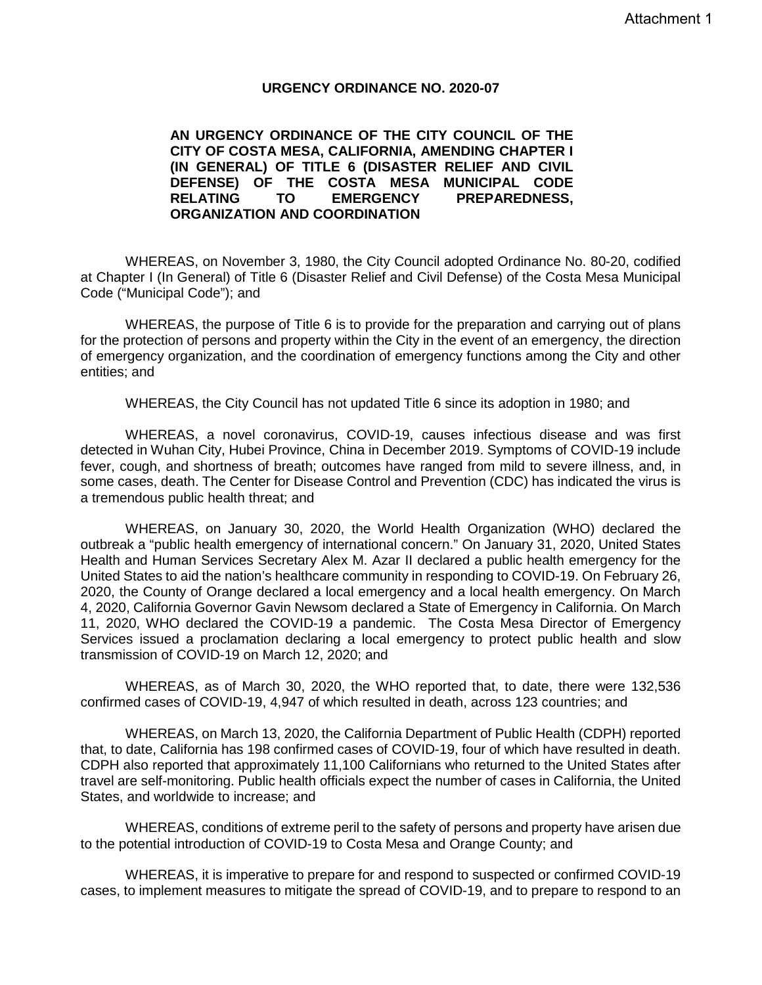#### **URGENCY ORDINANCE NO. 2020-07**

#### **AN URGENCY ORDINANCE OF THE CITY COUNCIL OF THE CITY OF COSTA MESA, CALIFORNIA, AMENDING CHAPTER I (IN GENERAL) OF TITLE 6 (DISASTER RELIEF AND CIVIL DEFENSE) OF THE COSTA MESA MUNICIPAL CODE RELATING TO EMERGENCY PREPAREDNESS, ORGANIZATION AND COORDINATION**

WHEREAS, on November 3, 1980, the City Council adopted Ordinance No. 80-20, codified at Chapter I (In General) of Title 6 (Disaster Relief and Civil Defense) of the Costa Mesa Municipal Code ("Municipal Code"); and

WHEREAS, the purpose of Title 6 is to provide for the preparation and carrying out of plans for the protection of persons and property within the City in the event of an emergency, the direction of emergency organization, and the coordination of emergency functions among the City and other entities; and

WHEREAS, the City Council has not updated Title 6 since its adoption in 1980; and

WHEREAS, a novel coronavirus, COVID-19, causes infectious disease and was first detected in Wuhan City, Hubei Province, China in December 2019. Symptoms of COVID-19 include fever, cough, and shortness of breath; outcomes have ranged from mild to severe illness, and, in some cases, death. The Center for Disease Control and Prevention (CDC) has indicated the virus is a tremendous public health threat; and

WHEREAS, on January 30, 2020, the World Health Organization (WHO) declared the outbreak a "public health emergency of international concern." On January 31, 2020, United States Health and Human Services Secretary Alex M. Azar II declared a public health emergency for the United States to aid the nation's healthcare community in responding to COVID-19. On February 26, 2020, the County of Orange declared a local emergency and a local health emergency. On March 4, 2020, California Governor Gavin Newsom declared a State of Emergency in California. On March 11, 2020, WHO declared the COVID-19 a pandemic. The Costa Mesa Director of Emergency Services issued a proclamation declaring a local emergency to protect public health and slow transmission of COVID-19 on March 12, 2020; and

WHEREAS, as of March 30, 2020, the WHO reported that, to date, there were 132,536 confirmed cases of COVID-19, 4,947 of which resulted in death, across 123 countries; and

WHEREAS, on March 13, 2020, the California Department of Public Health (CDPH) reported that, to date, California has 198 confirmed cases of COVID-19, four of which have resulted in death. CDPH also reported that approximately 11,100 Californians who returned to the United States after travel are self-monitoring. Public health officials expect the number of cases in California, the United States, and worldwide to increase; and

WHEREAS, conditions of extreme peril to the safety of persons and property have arisen due to the potential introduction of COVID-19 to Costa Mesa and Orange County; and

WHEREAS, it is imperative to prepare for and respond to suspected or confirmed COVID-19 cases, to implement measures to mitigate the spread of COVID-19, and to prepare to respond to an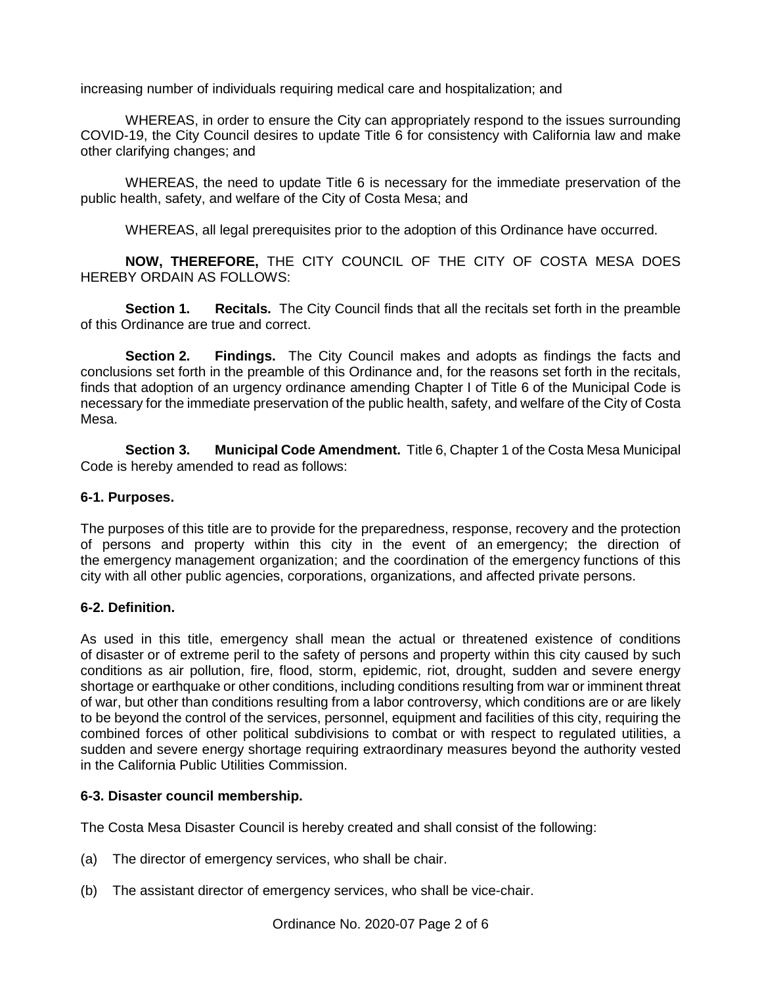increasing number of individuals requiring medical care and hospitalization; and

WHEREAS, in order to ensure the City can appropriately respond to the issues surrounding COVID-19, the City Council desires to update Title 6 for consistency with California law and make other clarifying changes; and

WHEREAS, the need to update Title 6 is necessary for the immediate preservation of the public health, safety, and welfare of the City of Costa Mesa; and

WHEREAS, all legal prerequisites prior to the adoption of this Ordinance have occurred.

**NOW, THEREFORE,** THE CITY COUNCIL OF THE CITY OF COSTA MESA DOES HEREBY ORDAIN AS FOLLOWS:

**Section 1. Recitals.** The City Council finds that all the recitals set forth in the preamble of this Ordinance are true and correct.

**Section 2. Findings.** The City Council makes and adopts as findings the facts and conclusions set forth in the preamble of this Ordinance and, for the reasons set forth in the recitals, finds that adoption of an urgency ordinance amending Chapter I of Title 6 of the Municipal Code is necessary for the immediate preservation of the public health, safety, and welfare of the City of Costa Mesa.

**Section 3. Municipal Code Amendment.** Title 6, Chapter 1 of the Costa Mesa Municipal Code is hereby amended to read as follows:

## **6-1. Purposes.**

The purposes of this title are to provide for the preparedness, response, recovery and the protection of persons and property within this city in the event of an emergency; the direction of the emergency management organization; and the coordination of the emergency functions of this city with all other public agencies, corporations, organizations, and affected private persons.

## **6-2. Definition.**

As used in this title, emergency shall mean the actual or threatened existence of conditions of disaster or of extreme peril to the safety of persons and property within this city caused by such conditions as air pollution, fire, flood, storm, epidemic, riot, drought, sudden and severe energy shortage or earthquake or other conditions, including conditions resulting from war or imminent threat of war, but other than conditions resulting from a labor controversy, which conditions are or are likely to be beyond the control of the services, personnel, equipment and facilities of this city, requiring the combined forces of other political subdivisions to combat or with respect to regulated utilities, a sudden and severe energy shortage requiring extraordinary measures beyond the authority vested in the California Public Utilities Commission.

# **6-3. Disaster council membership.**

The Costa Mesa Disaster Council is hereby created and shall consist of the following:

- (a) The director of emergency services, who shall be chair.
- (b) The assistant director of emergency services, who shall be vice-chair.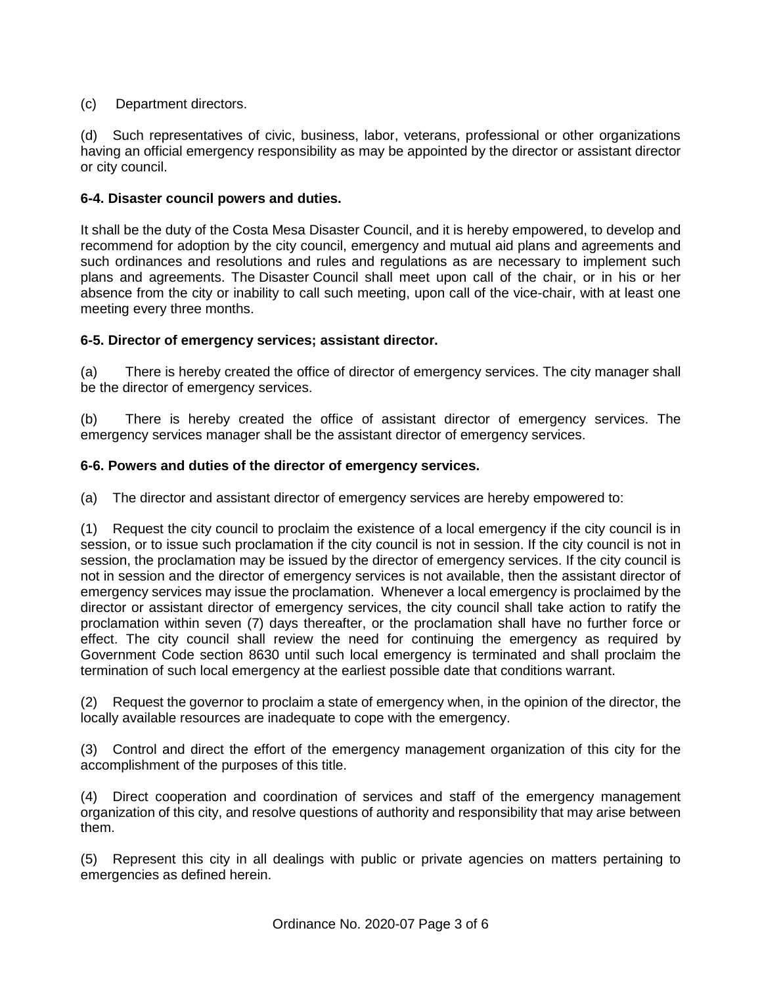## (c) Department directors.

(d) Such representatives of civic, business, labor, veterans, professional or other organizations having an official emergency responsibility as may be appointed by the director or assistant director or city council.

## **6-4. Disaster council powers and duties.**

It shall be the duty of the Costa Mesa Disaster Council, and it is hereby empowered, to develop and recommend for adoption by the city council, emergency and mutual aid plans and agreements and such ordinances and resolutions and rules and regulations as are necessary to implement such plans and agreements. The Disaster Council shall meet upon call of the chair, or in his or her absence from the city or inability to call such meeting, upon call of the vice-chair, with at least one meeting every three months.

## **6-5. Director of emergency services; assistant director.**

(a) There is hereby created the office of director of emergency services. The city manager shall be the director of emergency services.

(b) There is hereby created the office of assistant director of emergency services. The emergency services manager shall be the assistant director of emergency services.

## **6-6. Powers and duties of the director of emergency services.**

(a) The director and assistant director of emergency services are hereby empowered to:

(1) Request the city council to proclaim the existence of a local emergency if the city council is in session, or to issue such proclamation if the city council is not in session. If the city council is not in session, the proclamation may be issued by the director of emergency services. If the city council is not in session and the director of emergency services is not available, then the assistant director of emergency services may issue the proclamation. Whenever a local emergency is proclaimed by the director or assistant director of emergency services, the city council shall take action to ratify the proclamation within seven (7) days thereafter, or the proclamation shall have no further force or effect. The city council shall review the need for continuing the emergency as required by Government Code section 8630 until such local emergency is terminated and shall proclaim the termination of such local emergency at the earliest possible date that conditions warrant.

(2) Request the governor to proclaim a state of emergency when, in the opinion of the director, the locally available resources are inadequate to cope with the emergency.

(3) Control and direct the effort of the emergency management organization of this city for the accomplishment of the purposes of this title.

(4) Direct cooperation and coordination of services and staff of the emergency management organization of this city, and resolve questions of authority and responsibility that may arise between them.

(5) Represent this city in all dealings with public or private agencies on matters pertaining to emergencies as defined herein.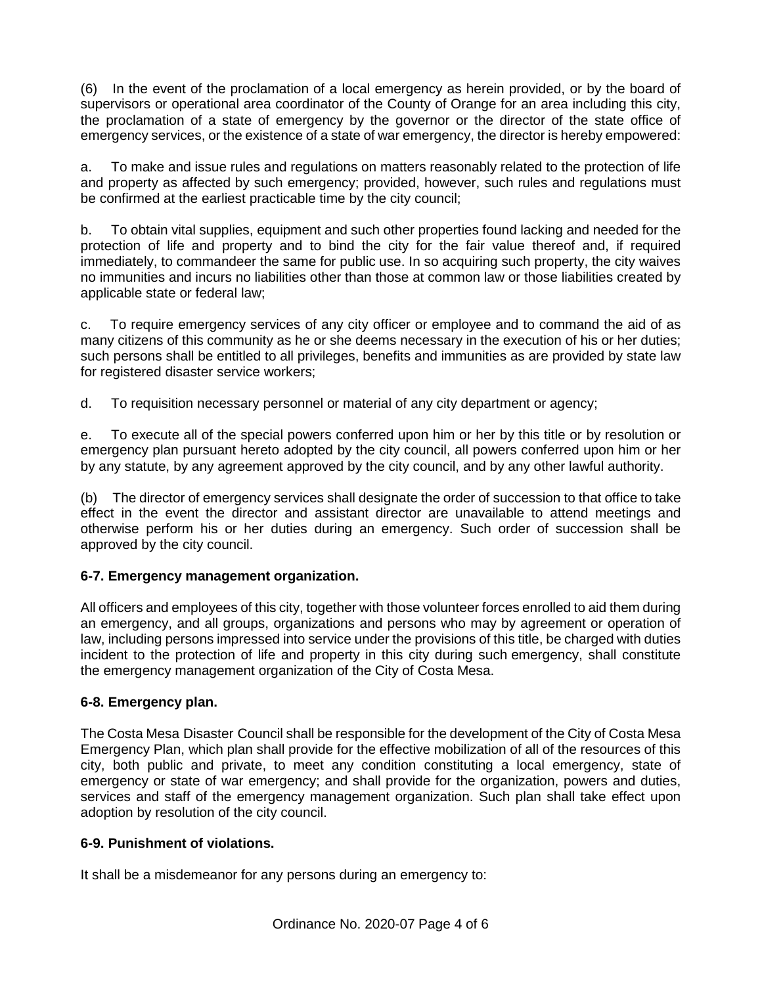(6) In the event of the proclamation of a local emergency as herein provided, or by the board of supervisors or operational area coordinator of the County of Orange for an area including this city, the proclamation of a state of emergency by the governor or the director of the state office of emergency services, or the existence of a state of war emergency, the director is hereby empowered:

a. To make and issue rules and regulations on matters reasonably related to the protection of life and property as affected by such emergency; provided, however, such rules and regulations must be confirmed at the earliest practicable time by the city council;

b. To obtain vital supplies, equipment and such other properties found lacking and needed for the protection of life and property and to bind the city for the fair value thereof and, if required immediately, to commandeer the same for public use. In so acquiring such property, the city waives no immunities and incurs no liabilities other than those at common law or those liabilities created by applicable state or federal law;

c. To require emergency services of any city officer or employee and to command the aid of as many citizens of this community as he or she deems necessary in the execution of his or her duties; such persons shall be entitled to all privileges, benefits and immunities as are provided by state law for registered disaster service workers;

d. To requisition necessary personnel or material of any city department or agency;

e. To execute all of the special powers conferred upon him or her by this title or by resolution or emergency plan pursuant hereto adopted by the city council, all powers conferred upon him or her by any statute, by any agreement approved by the city council, and by any other lawful authority.

(b) The director of emergency services shall designate the order of succession to that office to take effect in the event the director and assistant director are unavailable to attend meetings and otherwise perform his or her duties during an emergency. Such order of succession shall be approved by the city council.

# **6-7. Emergency management organization.**

All officers and employees of this city, together with those volunteer forces enrolled to aid them during an emergency, and all groups, organizations and persons who may by agreement or operation of law, including persons impressed into service under the provisions of this title, be charged with duties incident to the protection of life and property in this city during such emergency, shall constitute the emergency management organization of the City of Costa Mesa.

# **6-8. Emergency plan.**

The Costa Mesa Disaster Council shall be responsible for the development of the City of Costa Mesa Emergency Plan, which plan shall provide for the effective mobilization of all of the resources of this city, both public and private, to meet any condition constituting a local emergency, state of emergency or state of war emergency; and shall provide for the organization, powers and duties, services and staff of the emergency management organization. Such plan shall take effect upon adoption by resolution of the city council.

## **6-9. Punishment of violations.**

It shall be a misdemeanor for any persons during an emergency to: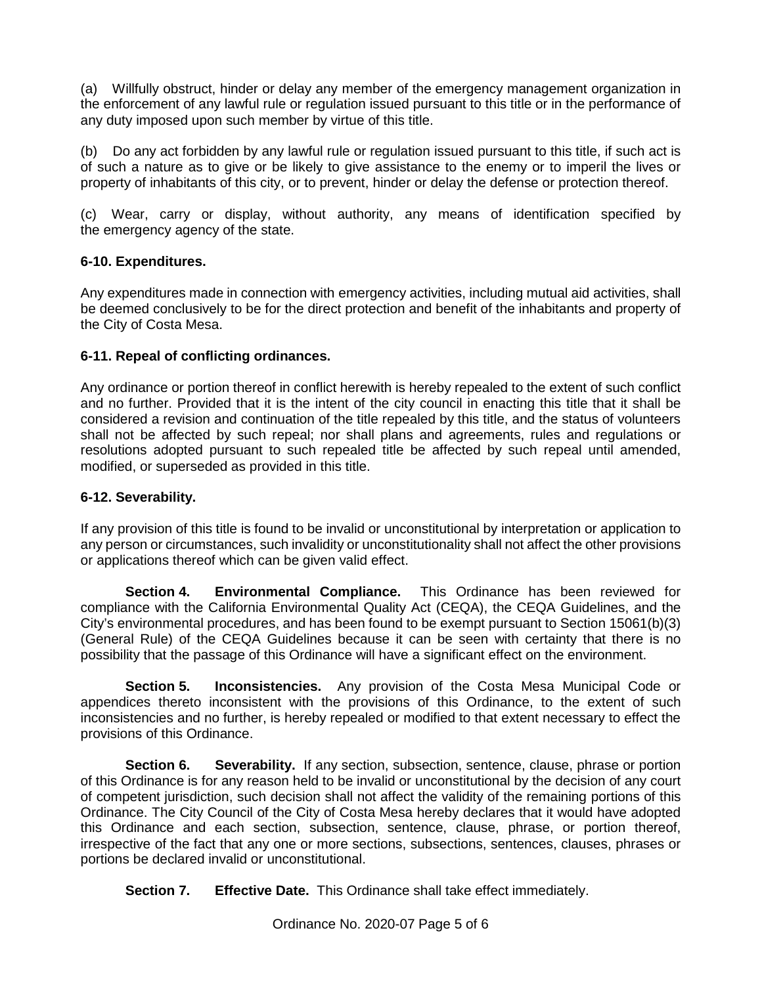(a) Willfully obstruct, hinder or delay any member of the emergency management organization in the enforcement of any lawful rule or regulation issued pursuant to this title or in the performance of any duty imposed upon such member by virtue of this title.

(b) Do any act forbidden by any lawful rule or regulation issued pursuant to this title, if such act is of such a nature as to give or be likely to give assistance to the enemy or to imperil the lives or property of inhabitants of this city, or to prevent, hinder or delay the defense or protection thereof.

(c) Wear, carry or display, without authority, any means of identification specified by the emergency agency of the state.

# **6-10. Expenditures.**

Any expenditures made in connection with emergency activities, including mutual aid activities, shall be deemed conclusively to be for the direct protection and benefit of the inhabitants and property of the City of Costa Mesa.

# **6-11. Repeal of conflicting ordinances.**

Any ordinance or portion thereof in conflict herewith is hereby repealed to the extent of such conflict and no further. Provided that it is the intent of the city council in enacting this title that it shall be considered a revision and continuation of the title repealed by this title, and the status of volunteers shall not be affected by such repeal; nor shall plans and agreements, rules and regulations or resolutions adopted pursuant to such repealed title be affected by such repeal until amended, modified, or superseded as provided in this title.

## **6-12. Severability.**

If any provision of this title is found to be invalid or unconstitutional by interpretation or application to any person or circumstances, such invalidity or unconstitutionality shall not affect the other provisions or applications thereof which can be given valid effect.

**Section 4. Environmental Compliance.** This Ordinance has been reviewed for compliance with the California Environmental Quality Act (CEQA), the CEQA Guidelines, and the City's environmental procedures, and has been found to be exempt pursuant to Section 15061(b)(3) (General Rule) of the CEQA Guidelines because it can be seen with certainty that there is no possibility that the passage of this Ordinance will have a significant effect on the environment.

**Section 5. Inconsistencies.** Any provision of the Costa Mesa Municipal Code or appendices thereto inconsistent with the provisions of this Ordinance, to the extent of such inconsistencies and no further, is hereby repealed or modified to that extent necessary to effect the provisions of this Ordinance.

**Section 6.** Severability. If any section, subsection, sentence, clause, phrase or portion of this Ordinance is for any reason held to be invalid or unconstitutional by the decision of any court of competent jurisdiction, such decision shall not affect the validity of the remaining portions of this Ordinance. The City Council of the City of Costa Mesa hereby declares that it would have adopted this Ordinance and each section, subsection, sentence, clause, phrase, or portion thereof, irrespective of the fact that any one or more sections, subsections, sentences, clauses, phrases or portions be declared invalid or unconstitutional.

**Section 7. Effective Date.** This Ordinance shall take effect immediately.